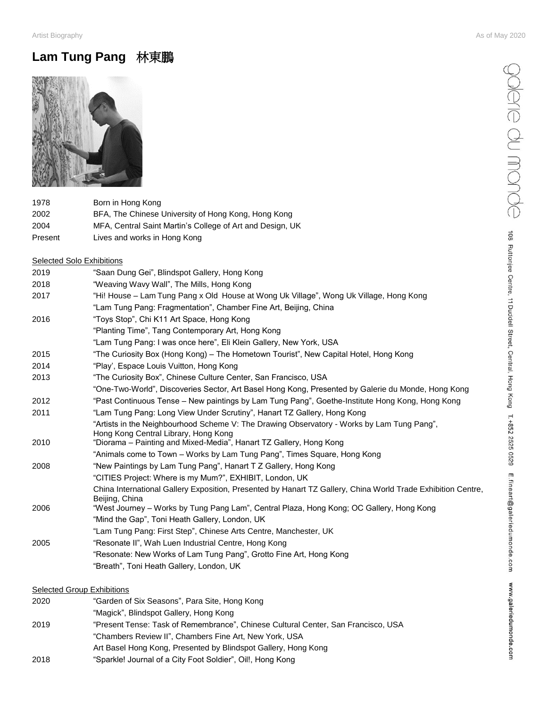## **Lam Tung Pang** 林東鵬



| 1978    | Born in Hong Kong                                         |
|---------|-----------------------------------------------------------|
| 2002    | BFA, The Chinese University of Hong Kong, Hong Kong       |
| 2004    | MFA, Central Saint Martin's College of Art and Design, UK |
| Present | Lives and works in Hong Kong                              |

#### **Selected Solo Exhibitions**

| 2019 | "Saan Dung Gei", Blindspot Gallery, Hong Kong                                                                |
|------|--------------------------------------------------------------------------------------------------------------|
| 2018 | "Weaving Wavy Wall", The Mills, Hong Kong                                                                    |
| 2017 | "Hi! House – Lam Tung Pang x Old House at Wong Uk Village", Wong Uk Village, Hong Kong                       |
|      | "Lam Tung Pang: Fragmentation", Chamber Fine Art, Beijing, China                                             |
| 2016 | "Toys Stop", Chi K11 Art Space, Hong Kong                                                                    |
|      | "Planting Time", Tang Contemporary Art, Hong Kong                                                            |
|      | "Lam Tung Pang: I was once here", Eli Klein Gallery, New York, USA                                           |
| 2015 | "The Curiosity Box (Hong Kong) – The Hometown Tourist", New Capital Hotel, Hong Kong                         |
| 2014 | "Play", Espace Louis Vuitton, Hong Kong                                                                      |
| 2013 | "The Curiosity Box", Chinese Culture Center, San Francisco, USA                                              |
|      | "One-Two-World", Discoveries Sector, Art Basel Hong Kong, Presented by Galerie du Monde, Hong Kong           |
| 2012 | "Past Continuous Tense - New paintings by Lam Tung Pang", Goethe-Institute Hong Kong, Hong Kong              |
| 2011 | "Lam Tung Pang: Long View Under Scrutiny", Hanart TZ Gallery, Hong Kong                                      |
|      | "Artists in the Neighbourhood Scheme V: The Drawing Observatory - Works by Lam Tung Pang",                   |
|      | Hong Kong Central Library, Hong Kong                                                                         |
| 2010 | "Diorama - Painting and Mixed-Media", Hanart TZ Gallery, Hong Kong                                           |
|      | "Animals come to Town - Works by Lam Tung Pang", Times Square, Hong Kong                                     |
| 2008 | "New Paintings by Lam Tung Pang", Hanart T Z Gallery, Hong Kong                                              |
|      | "CITIES Project: Where is my Mum?", EXHIBIT, London, UK                                                      |
|      | China International Gallery Exposition, Presented by Hanart TZ Gallery, China World Trade Exhibition Centre, |
| 2006 | Beijing, China<br>"West Journey – Works by Tung Pang Lam", Central Plaza, Hong Kong; OC Gallery, Hong Kong   |
|      | "Mind the Gap", Toni Heath Gallery, London, UK                                                               |
|      | "Lam Tung Pang: First Step", Chinese Arts Centre, Manchester, UK                                             |
| 2005 |                                                                                                              |
|      | "Resonate II", Wah Luen Industrial Centre, Hong Kong                                                         |
|      | "Resonate: New Works of Lam Tung Pang", Grotto Fine Art, Hong Kong                                           |
|      | "Breath", Toni Heath Gallery, London, UK                                                                     |
|      |                                                                                                              |

### **Selected Group Exhibitions**

| 2020 | "Garden of Six Seasons", Para Site, Hong Kong                                     |
|------|-----------------------------------------------------------------------------------|
|      | "Magick", Blindspot Gallery, Hong Kong                                            |
| 2019 | "Present Tense: Task of Remembrance", Chinese Cultural Center, San Francisco, USA |
|      | "Chambers Review II", Chambers Fine Art, New York, USA                            |
|      | Art Basel Hong Kong, Presented by Blindspot Gallery, Hong Kong                    |
| 2018 | "Sparkle! Journal of a City Foot Soldier", Oil!, Hong Kong                        |
|      |                                                                                   |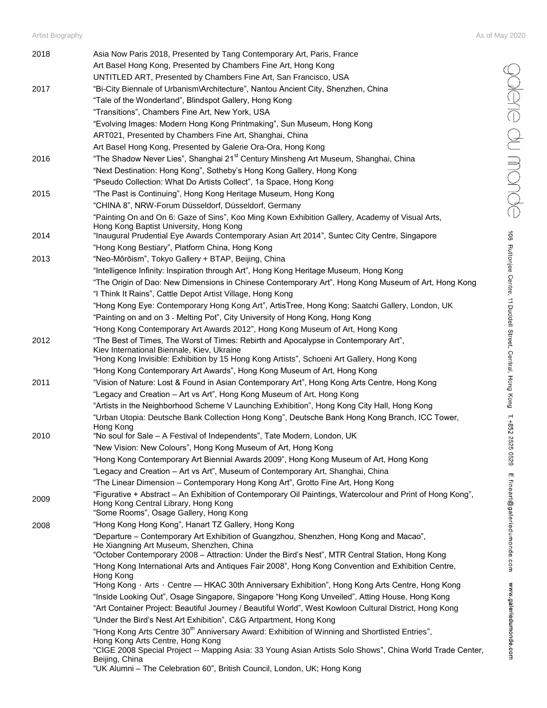$\bigcirc$   $\bigcirc$   $\bigcirc$   $\bigcirc$   $\bigcirc$   $\bigcirc$   $\bigcirc$   $\bigcirc$   $\bigcirc$  os Rutionjee Centre, 11 Duddell Street, Central, Hong Kong T.+852 2525 0529 E.fineart@galeriedumonde.com www.galeriedumonde.com

| 2018 | Asia Now Paris 2018, Presented by Tang Contemporary Art, Paris, France                                                                                                                                                          |
|------|---------------------------------------------------------------------------------------------------------------------------------------------------------------------------------------------------------------------------------|
|      | Art Basel Hong Kong, Presented by Chambers Fine Art, Hong Kong                                                                                                                                                                  |
|      | UNTITLED ART, Presented by Chambers Fine Art, San Francisco, USA                                                                                                                                                                |
| 2017 | "Bi-City Biennale of Urbanism\Architecture", Nantou Ancient City, Shenzhen, China                                                                                                                                               |
|      | "Tale of the Wonderland", Blindspot Gallery, Hong Kong                                                                                                                                                                          |
|      | "Transitions", Chambers Fine Art, New York, USA                                                                                                                                                                                 |
|      | "Evolving Images: Modern Hong Kong Printmaking", Sun Museum, Hong Kong                                                                                                                                                          |
|      | ART021, Presented by Chambers Fine Art, Shanghai, China                                                                                                                                                                         |
|      | Art Basel Hong Kong, Presented by Galerie Ora-Ora, Hong Kong                                                                                                                                                                    |
| 2016 | "The Shadow Never Lies", Shanghai 21 <sup>st</sup> Century Minsheng Art Museum, Shanghai, China                                                                                                                                 |
|      | "Next Destination: Hong Kong", Sotheby's Hong Kong Gallery, Hong Kong                                                                                                                                                           |
|      | "Pseudo Collection: What Do Artists Collect", 1a Space, Hong Kong                                                                                                                                                               |
| 2015 | "The Past is Continuing", Hong Kong Heritage Museum, Hong Kong                                                                                                                                                                  |
|      | "CHINA 8", NRW-Forum Düsseldorf, Düsseldorf, Germany                                                                                                                                                                            |
|      | "Painting On and On 6: Gaze of Sins", Koo Ming Kown Exhibition Gallery, Academy of Visual Arts,                                                                                                                                 |
| 2014 | Hong Kong Baptist University, Hong Kong<br>"Inaugural Prudential Eye Awards Contemporary Asian Art 2014", Suntec City Centre, Singapore                                                                                         |
|      | "Hong Kong Bestiary", Platform China, Hong Kong                                                                                                                                                                                 |
| 2013 | "Neo-Mōrōism", Tokyo Gallery + BTAP, Beijing, China                                                                                                                                                                             |
|      |                                                                                                                                                                                                                                 |
|      | "Intelligence Infinity: Inspiration through Art", Hong Kong Heritage Museum, Hong Kong                                                                                                                                          |
|      | "The Origin of Dao: New Dimensions in Chinese Contemporary Art", Hong Kong Museum of Art, Hong Kong                                                                                                                             |
|      | "I Think It Rains", Cattle Depot Artist Village, Hong Kong                                                                                                                                                                      |
|      | "Hong Kong Eye: Contemporary Hong Kong Art", ArtisTree, Hong Kong; Saatchi Gallery, London, UK                                                                                                                                  |
|      | "Painting on and on 3 - Melting Pot", City University of Hong Kong, Hong Kong                                                                                                                                                   |
|      | "Hong Kong Contemporary Art Awards 2012", Hong Kong Museum of Art, Hong Kong                                                                                                                                                    |
| 2012 | "The Best of Times, The Worst of Times: Rebirth and Apocalypse in Contemporary Art",<br>Kiev International Biennale, Kiev, Ukraine<br>"Hong Kong Invisible: Exhibition by 15 Hong Kong Artists", Schoeni Art Gallery, Hong Kong |
|      | "Hong Kong Contemporary Art Awards", Hong Kong Museum of Art, Hong Kong                                                                                                                                                         |
| 2011 | "Vision of Nature: Lost & Found in Asian Contemporary Art", Hong Kong Arts Centre, Hong Kong                                                                                                                                    |
|      | "Legacy and Creation – Art vs Art", Hong Kong Museum of Art, Hong Kong                                                                                                                                                          |
|      | "Artists in the Neighborhood Scheme V Launching Exhibition", Hong Kong City Hall, Hong Kong                                                                                                                                     |
|      | "Urban Utopia: Deutsche Bank Collection Hong Kong", Deutsche Bank Hong Kong Branch, ICC Tower,                                                                                                                                  |
| 2010 | Hong Kong<br>"No soul for Sale - A Festival of Independents", Tate Modern, London, UK                                                                                                                                           |
|      | "New Vision: New Colours", Hong Kong Museum of Art, Hong Kong                                                                                                                                                                   |
|      | "Hong Kong Contemporary Art Biennial Awards 2009", Hong Kong Museum of Art, Hong Kong                                                                                                                                           |
|      | "Legacy and Creation - Art vs Art", Museum of Contemporary Art, Shanghai, China                                                                                                                                                 |
|      | "The Linear Dimension - Contemporary Hong Kong Art", Grotto Fine Art, Hong Kong                                                                                                                                                 |
|      | "Figurative + Abstract – An Exhibition of Contemporary Oil Paintings, Watercolour and Print of Hong Kong",                                                                                                                      |
| 2009 | Hong Kong Central Library, Hong Kong<br>"Some Rooms", Osage Gallery, Hong Kong                                                                                                                                                  |
| 2008 | "Hong Kong Hong Kong", Hanart TZ Gallery, Hong Kong                                                                                                                                                                             |
|      | "Departure - Contemporary Art Exhibition of Guangzhou, Shenzhen, Hong Kong and Macao",                                                                                                                                          |
|      | He Xiangning Art Museum, Shenzhen, China<br>"October Contemporary 2008 - Attraction: Under the Bird's Nest", MTR Central Station, Hong Kong                                                                                     |
|      | "Hong Kong International Arts and Antiques Fair 2008", Hong Kong Convention and Exhibition Centre,                                                                                                                              |
|      | Hong Kong<br>"Hong Kong · Arts · Centre — HKAC 30th Anniversary Exhibition", Hong Kong Arts Centre, Hong Kong                                                                                                                   |
|      | "Inside Looking Out", Osage Singapore, Singapore "Hong Kong Unveiled", Atting House, Hong Kong                                                                                                                                  |
|      |                                                                                                                                                                                                                                 |
|      | "Art Container Project: Beautiful Journey / Beautiful World", West Kowloon Cultural District, Hong Kong                                                                                                                         |
|      | "Under the Bird's Nest Art Exhibition", C&G Artpartment, Hong Kong<br>"Hong Kong Arts Centre 30 <sup>th</sup> Anniversary Award: Exhibition of Winning and Shortlisted Entries",                                                |
|      | Hong Kong Arts Centre, Hong Kong                                                                                                                                                                                                |
|      | "CIGE 2008 Special Project -- Mapping Asia: 33 Young Asian Artists Solo Shows", China World Trade Center,<br>Beijing, China                                                                                                     |
|      | "UK Alumni - The Celebration 60", British Council, London, UK; Hong Kong                                                                                                                                                        |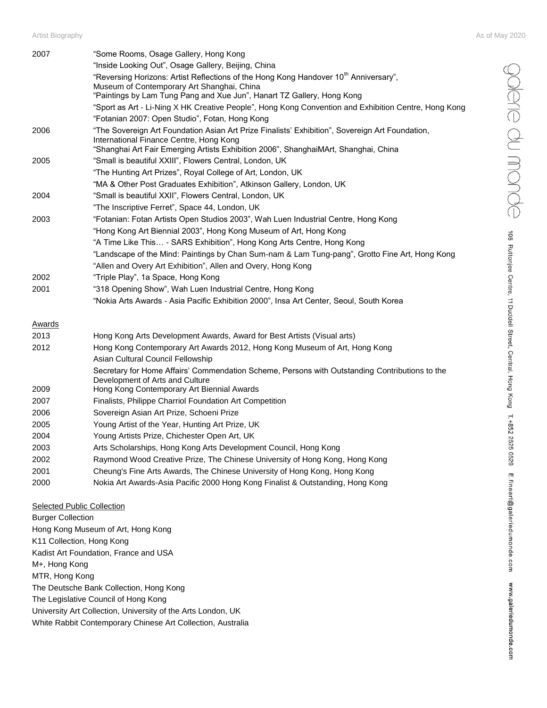Artist Biography As of May 2020

| 2007   | "Some Rooms, Osage Gallery, Hong Kong                                                                                          |
|--------|--------------------------------------------------------------------------------------------------------------------------------|
|        | "Inside Looking Out", Osage Gallery, Beijing, China                                                                            |
|        | "Reversing Horizons: Artist Reflections of the Hong Kong Handover 10 <sup>th</sup> Anniversary",                               |
|        | Museum of Contemporary Art Shanghai, China                                                                                     |
|        | "Paintings by Lam Tung Pang and Xue Jun", Hanart TZ Gallery, Hong Kong                                                         |
|        | "Sport as Art - Li-Ning X HK Creative People", Hong Kong Convention and Exhibition Centre, Hong Kong                           |
|        | "Fotanian 2007: Open Studio", Fotan, Hong Kong                                                                                 |
| 2006   | "The Sovereign Art Foundation Asian Art Prize Finalists' Exhibition", Sovereign Art Foundation,                                |
|        | International Finance Centre, Hong Kong<br>"Shanghai Art Fair Emerging Artists Exhibition 2006", ShanghaiMArt, Shanghai, China |
| 2005   | "Small is beautiful XXIII", Flowers Central, London, UK                                                                        |
|        | "The Hunting Art Prizes", Royal College of Art, London, UK                                                                     |
|        | "MA & Other Post Graduates Exhibition", Atkinson Gallery, London, UK                                                           |
|        | "Small is beautiful XXII", Flowers Central, London, UK                                                                         |
| 2004   | "The Inscriptive Ferret", Space 44, London, UK                                                                                 |
|        |                                                                                                                                |
| 2003   | "Fotanian: Fotan Artists Open Studios 2003", Wah Luen Industrial Centre, Hong Kong                                             |
|        | "Hong Kong Art Biennial 2003", Hong Kong Museum of Art, Hong Kong                                                              |
|        | "A Time Like This - SARS Exhibition", Hong Kong Arts Centre, Hong Kong                                                         |
|        | "Landscape of the Mind: Paintings by Chan Sum-nam & Lam Tung-pang", Grotto Fine Art, Hong Kong                                 |
|        | "Allen and Overy Art Exhibition", Allen and Overy, Hong Kong                                                                   |
| 2002   | "Triple Play", 1a Space, Hong Kong                                                                                             |
| 2001   | "318 Opening Show", Wah Luen Industrial Centre, Hong Kong                                                                      |
|        | "Nokia Arts Awards - Asia Pacific Exhibition 2000", Insa Art Center, Seoul, South Korea                                        |
| Awards |                                                                                                                                |
| 2013   | Hong Kong Arts Development Awards, Award for Best Artists (Visual arts)                                                        |
| 2012   | Hong Kong Contemporary Art Awards 2012, Hong Kong Museum of Art, Hong Kong                                                     |
|        | Asian Cultural Council Fellowship                                                                                              |
|        | Secretary for Home Affairs' Commendation Scheme, Persons with Outstanding Contributions to the                                 |
|        | Development of Arts and Culture                                                                                                |
| 2009   | Hong Kong Contemporary Art Biennial Awards                                                                                     |
| 2007   | Finalists, Philippe Charriol Foundation Art Competition                                                                        |
| 2006   | Sovereign Asian Art Prize, Schoeni Prize                                                                                       |
| 2005   | Young Artist of the Year, Hunting Art Prize, UK                                                                                |
| 2004   | Young Artists Prize, Chichester Open Art, UK                                                                                   |
| 2003   | Arts Scholarships, Hong Kong Arts Development Council, Hong Kong                                                               |
| 2002   | Raymond Wood Creative Prize, The Chinese University of Hong Kong, Hong Kong                                                    |
| 2001   | Cheung's Fine Arts Awards, The Chinese University of Hong Kong, Hong Kong                                                      |

2000 Nokia Art Awards-Asia Pacific 2000 Hong Kong Finalist & Outstanding, Hong Kong

Selected Public Collection Burger Collection Hong Kong Museum of Art, Hong Kong K11 Collection, Hong Kong Kadist Art Foundation, France and USA M+, Hong Kong MTR, Hong Kong The Deutsche Bank Collection, Hong Kong The Legislative Council of Hong Kong University Art Collection, University of the Arts London, UK White Rabbit Contemporary Chinese Art Collection, Australia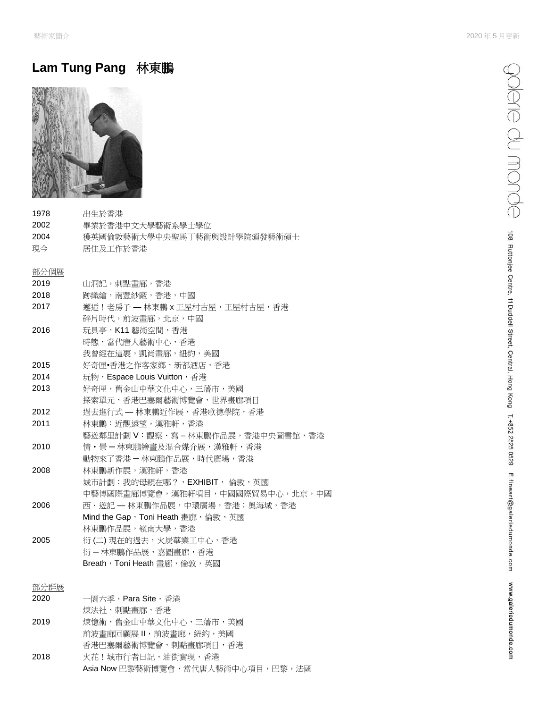# **Lam Tung Pang** 林東鵬



| 1978 | 出生於香港                             |
|------|-----------------------------------|
| 2002 | 畢業於香港中文大學藝術系學十學位                  |
| 2004 | 獲英國倫敦藝術大學中央聖馬丁藝術與設計學院頒發藝術碩士       |
| 現今   | 居住及工作於香港                          |
| 部分個展 |                                   |
| 2019 | 山洞記,刺點畫廊,香港                       |
| 2018 | 跡織繪,南豐紗廠,香港,中國                    |
| 2017 | 獬逅!老房子 — 林東鵬 x 王屋村古屋,王屋村古屋,香港     |
|      | 碎片時代,前波書廊,北京,中國                   |
| 2016 | 玩具亭,K11 藝術空間,香港                   |
|      | 時態,當代唐人藝術中心,香港                    |
|      | 我曾經在這裹,凱尚畫廊,紐約,美國                 |
| 2015 | 好奇匣•香港之作客家鄉,新都酒店,香港               |
| 2014 | 玩物, Espace Louis Vuitton, 香港      |
| 2013 | 好奇匣,舊金山中華文化中心,三藩市,美國              |
|      | 探索單元,香港巴塞爾藝術博覽會,世界書廊項目            |
| 2012 | 過去推行式 — 林東鵬近作展,香港歌德學院,香港          |
| 2011 | 林東鵬:沂觀遠望,漢雅軒,香港                   |
|      | 藝遊鄰里計劃 V:觀察‧寫 – 林東鵬作品展,香港中央圖書館,香港 |
| 2010 | 情・景 — 林東鵬繪書及混合媒介展,漢雅軒,香港          |
|      | 動物來了香港 — 林東鵬作品展,時代廣場,香港           |
| 2008 | 林東鵬新作展,漢雅軒,香港                     |
|      | 城市計劃:我的母親在哪?,EXHIBIT, 倫敦,英國       |
|      | 中藝博國際畫廊博覽會,漢雅軒項目,中國國際貿易中心,北京,中國   |
| 2006 | 西・遊記 ― 林東鵬作品展,中環廣場,香港;奧海城,香港      |
|      | Mind the Gap,Toni Heath 畫廊,倫敦,英國  |
|      | 林東鵬作品展,嶺南大學,香港                    |
| 2005 | 衍 (二) 現在的過去,火炭華業工中心,香港            |
|      | 衍-林東鵬作品展,嘉圖畫廊,香港                  |
|      | Breath, Toni Heath 書廊, 倫敦, 英國     |
|      |                                   |

### 部分群展

| 2020 | 一園六季, <b>Para Site</b> ,香港        |
|------|-----------------------------------|
|      | 煉法社,刺點畫廊,香港                       |
| 2019 | 煉憶術,舊金山中華文化中心,三藩市,美國              |
|      | 前波書廊回顧展Ⅱ,前波書廊,紐約,美國               |
|      | 香港巴塞爾藝術博覽會,刺點畫廊項目,香港              |
| 2018 | 火花!城市行者日記,油街實現,香港                 |
|      | Asia Now 巴黎藝術博覽會,當代唐人藝術中心項目,巴黎,法國 |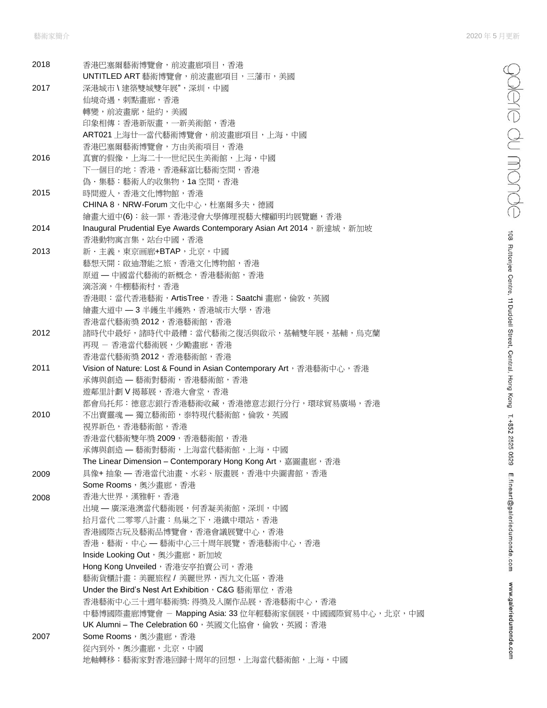| 2018 | 香港巴塞爾藝術博覽會,前波畫廊項目,香港                                                  |
|------|-----------------------------------------------------------------------|
| 2017 | UNTITLED ART 藝術博覽會,前波畫廊項目,三藩市,美國<br>深港城市 \ 建築雙城雙年展", 深圳, 中國           |
|      | 仙境奇遇,刺點畫廊,香港                                                          |
|      | 轉變,前波畫廓,紐約,美國                                                         |
|      | 印象相傳:香港新版畫,一新美術館,香港                                                   |
|      | ART021 上海廿一當代藝術博覽會,前波畫廊項目,上海,中國                                       |
|      | 香港巴塞爾藝術博覽會,方由美術項目,香港                                                  |
| 2016 | 真實的假像,上海二十一世纪民生美術館,上海,中國                                              |
|      | 下一個目的地:香港,香港蘇富比藝術空間,香港                                                |
|      | 偽·集藝:藝術人的收集物, 1a 空間, 香港                                               |
| 2015 | 時間遊人,香港文化博物館,香港                                                       |
|      | CHINA 8, NRW-Forum 文化中心, 杜塞爾多夫, 德國                                    |
|      | 繪畫大道中(6):敍一罪,香港浸會大學傳理視藝大樓顧明均展覽廳,香港                                    |
| 2014 | Inaugural Prudential Eye Awards Contemporary Asian Art 2014, 新達城, 新加坡 |
|      | 香港動物寓言集,站台中國,香港                                                       |
| 2013 | 新·主義,東京画廊+BTAP,北京,中國                                                  |
|      | 藝想天開:啟迪潛能之旅,香港文化博物館,香港                                                |
|      | 原道 — 中國當代藝術的新概念,香港藝術館,香港                                              |
|      | 滴溚滴,牛棚藝術村,香港                                                          |
|      | 香港眼:當代香港藝術, ArtisTree, 香港; Saatchi 書廊, 倫敦, 英國                         |
|      | 繪畫大道中 - 3 半鑊生半鑊熟, 香港城市大學, 香港                                          |
|      | 香港當代藝術獎 2012, 香港藝術館, 香港                                               |
| 2012 | 諸時代中最好,諸時代中最糟:當代藝術之復活與啟示,基輔雙年展,基輔,烏克蘭                                 |
|      | 再現 – 香港當代藝術展,少勵畫廊,香港                                                  |
|      | 香港當代藝術獎 2012, 香港藝術館, 香港                                               |
| 2011 | Vision of Nature: Lost & Found in Asian Contemporary Art, 香港藝術中心, 香港  |
|      | 承傳與創造 — 藝術對藝術,香港藝術館,香港                                                |
|      | 遊鄰里計劃 V 揭幕展,香港大會堂,香港                                                  |
|      | 都會烏托邦:德意志銀行香港藝術收藏,香港德意志銀行分行,環球貿易廣場,香港                                 |
| 2010 | 不出賣靈魂 — 獨立藝術節,泰特現代藝術館,倫敦,英國                                           |
|      | 視界新色, 香港藝術館, 香港                                                       |
|      | 香港當代藝術雙年獎 2009, 香港藝術館, 香港                                             |
|      | 承傳與創造 - 藝術對藝術,上海當代藝術館,上海,中國                                           |
|      | The Linear Dimension - Contemporary Hong Kong Art, 嘉圖畫廊, 香港           |
| 2009 | 具像+抽象 - 香港當代油畫、水彩、版畫展,香港中央圖書館,香港                                      |
|      | Some Rooms,奥沙畫廊,香港                                                    |
| 2008 | 香港大世界,漢雅軒,香港                                                          |
|      | 出境 — 廣深港澳當代藝術展,何香凝美術館,深圳,中國                                           |
|      | 拾月當代 二零零八計畫:鳥巢之下,港鐵中環站,香港                                             |
|      | 香港國際古玩及藝術品博覽會,香港會議展覽中心,香港                                             |
|      | 香港・藝術・中心 — 藝術中心三十周年展覽,香港藝術中心,香港                                       |
|      | Inside Looking Out, 奧沙畫廊, 新加坡                                         |
|      | Hong Kong Unveiled, 香港安亭拍賣公司, 香港                                      |
|      | 藝術貨櫃計畫:美麗旅程 / 美麗世界,西九文化區,香港                                           |
|      | Under the Bird's Nest Art Exhibition, C&G 藝術單位, 香港                    |
|      | 香港藝術中心三十週年藝術獎: 得獎及入圍作品展,香港藝術中心,香港                                     |
|      | 中藝博國際畫廊博覽會 - Mapping Asia: 33 位年輕藝術家個展,中國國際貿易中心,北京,中國                 |
|      | UK Alumni-The Celebration 60, 英國文化協會, 倫敦, 英國; 香港                      |
| 2007 | Some Rooms, 奧沙畫廊, 香港                                                  |
|      | 從內到外, 奧沙畫廊, 北京, 中國                                                    |
|      | 地軸轉移:藝術家對香港回歸十周年的回想,上海當代藝術館,上海,中國                                     |